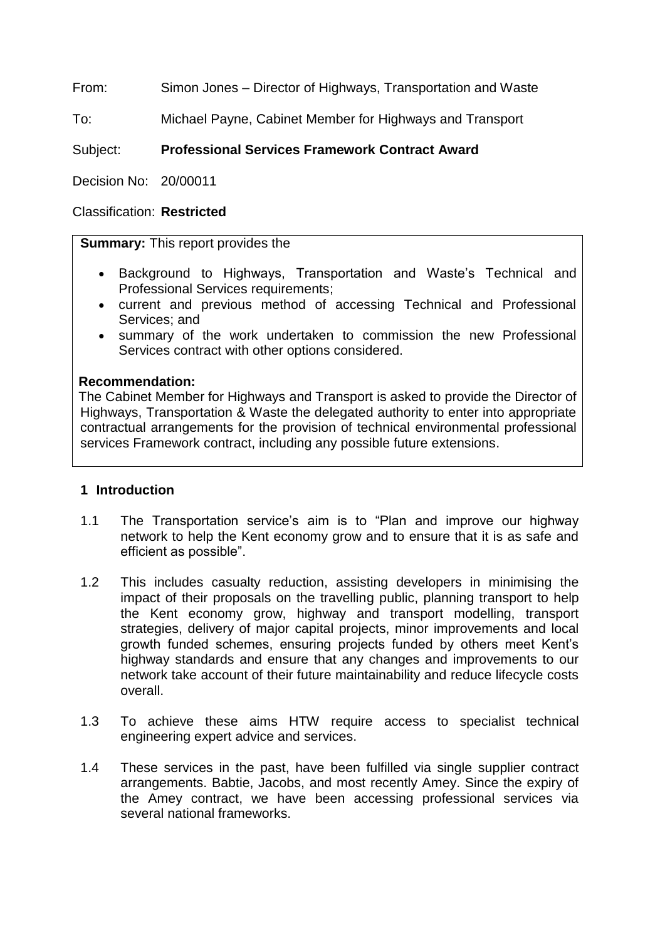From: Simon Jones – Director of Highways, Transportation and Waste

To: Michael Payne, Cabinet Member for Highways and Transport

# Subject: **Professional Services Framework Contract Award**

Decision No: 20/00011

### Classification: **Restricted**

### **Summary:** This report provides the

- Background to Highways, Transportation and Waste's Technical and Professional Services requirements;
- current and previous method of accessing Technical and Professional Services; and
- summary of the work undertaken to commission the new Professional Services contract with other options considered.

### **Recommendation:**

The Cabinet Member for Highways and Transport is asked to provide the Director of Highways, Transportation & Waste the delegated authority to enter into appropriate contractual arrangements for the provision of technical environmental professional services Framework contract, including any possible future extensions.

### **1 Introduction**

- 1.1 The Transportation service's aim is to "Plan and improve our highway network to help the Kent economy grow and to ensure that it is as safe and efficient as possible".
- 1.2 This includes casualty reduction, assisting developers in minimising the impact of their proposals on the travelling public, planning transport to help the Kent economy grow, highway and transport modelling, transport strategies, delivery of major capital projects, minor improvements and local growth funded schemes, ensuring projects funded by others meet Kent's highway standards and ensure that any changes and improvements to our network take account of their future maintainability and reduce lifecycle costs overall.
- 1.3 To achieve these aims HTW require access to specialist technical engineering expert advice and services.
- 1.4 These services in the past, have been fulfilled via single supplier contract arrangements. Babtie, Jacobs, and most recently Amey. Since the expiry of the Amey contract, we have been accessing professional services via several national frameworks.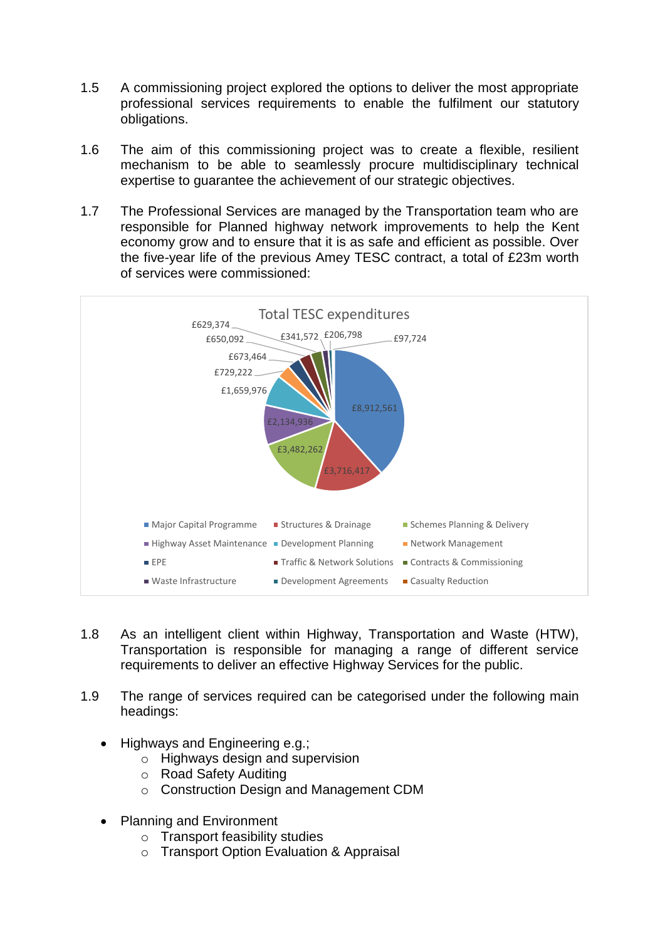- 1.5 A commissioning project explored the options to deliver the most appropriate professional services requirements to enable the fulfilment our statutory obligations.
- 1.6 The aim of this commissioning project was to create a flexible, resilient mechanism to be able to seamlessly procure multidisciplinary technical expertise to guarantee the achievement of our strategic objectives.
- 1.7 The Professional Services are managed by the Transportation team who are responsible for Planned highway network improvements to help the Kent economy grow and to ensure that it is as safe and efficient as possible. Over the five-year life of the previous Amey TESC contract, a total of £23m worth of services were commissioned:



- 1.8 As an intelligent client within Highway, Transportation and Waste (HTW), Transportation is responsible for managing a range of different service requirements to deliver an effective Highway Services for the public.
- 1.9 The range of services required can be categorised under the following main headings:
	- Highways and Engineering e.g.:
		- o Highways design and supervision
		- o Road Safety Auditing
		- o Construction Design and Management CDM
	- Planning and Environment
		- o Transport feasibility studies
		- o Transport Option Evaluation & Appraisal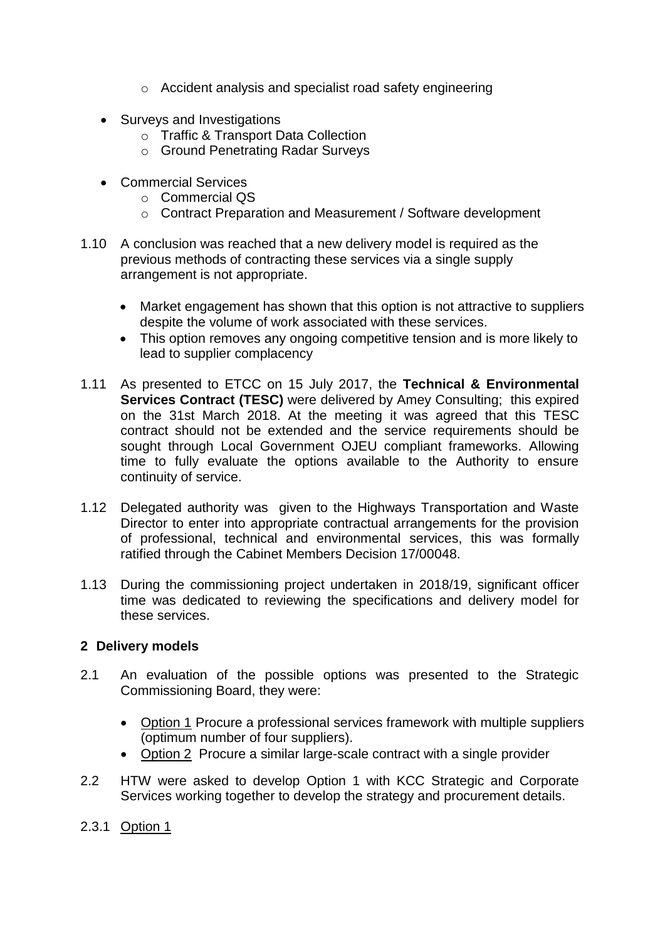- o Accident analysis and specialist road safety engineering
- Surveys and Investigations
	- o Traffic & Transport Data Collection
	- o Ground Penetrating Radar Surveys
- Commercial Services
	- o Commercial QS
	- o Contract Preparation and Measurement / Software development
- 1.10 A conclusion was reached that a new delivery model is required as the previous methods of contracting these services via a single supply arrangement is not appropriate.
	- Market engagement has shown that this option is not attractive to suppliers despite the volume of work associated with these services.
	- This option removes any ongoing competitive tension and is more likely to lead to supplier complacency
- 1.11 As presented to ETCC on 15 July 2017, the **Technical & Environmental Services Contract (TESC)** were delivered by Amey Consulting; this expired on the 31st March 2018. At the meeting it was agreed that this TESC contract should not be extended and the service requirements should be sought through Local Government OJEU compliant frameworks. Allowing time to fully evaluate the options available to the Authority to ensure continuity of service.
- 1.12 Delegated authority was given to the Highways Transportation and Waste Director to enter into appropriate contractual arrangements for the provision of professional, technical and environmental services, this was formally ratified through the Cabinet Members Decision 17/00048.
- 1.13 During the commissioning project undertaken in 2018/19, significant officer time was dedicated to reviewing the specifications and delivery model for these services.

### **2 Delivery models**

- 2.1 An evaluation of the possible options was presented to the Strategic Commissioning Board, they were:
	- Option 1 Procure a professional services framework with multiple suppliers (optimum number of four suppliers).
	- Option 2 Procure a similar large-scale contract with a single provider
- 2.2 HTW were asked to develop Option 1 with KCC Strategic and Corporate Services working together to develop the strategy and procurement details.
- 2.3.1 Option 1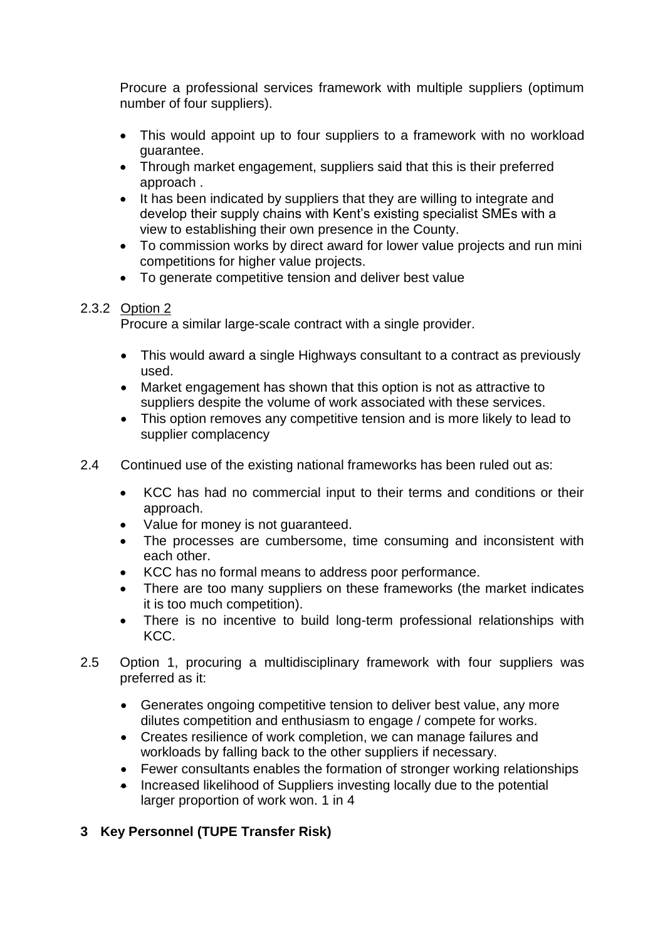Procure a professional services framework with multiple suppliers (optimum number of four suppliers).

- This would appoint up to four suppliers to a framework with no workload guarantee.
- Through market engagement, suppliers said that this is their preferred approach .
- It has been indicated by suppliers that they are willing to integrate and develop their supply chains with Kent's existing specialist SMEs with a view to establishing their own presence in the County.
- To commission works by direct award for lower value projects and run mini competitions for higher value projects.
- To generate competitive tension and deliver best value

### 2.3.2 Option 2

Procure a similar large-scale contract with a single provider.

- This would award a single Highways consultant to a contract as previously used.
- Market engagement has shown that this option is not as attractive to suppliers despite the volume of work associated with these services.
- This option removes any competitive tension and is more likely to lead to supplier complacency
- 2.4 Continued use of the existing national frameworks has been ruled out as:
	- KCC has had no commercial input to their terms and conditions or their approach.
	- Value for money is not guaranteed.
	- The processes are cumbersome, time consuming and inconsistent with each other.
	- KCC has no formal means to address poor performance.
	- There are too many suppliers on these frameworks (the market indicates it is too much competition).
	- There is no incentive to build long-term professional relationships with KCC.
- 2.5 Option 1, procuring a multidisciplinary framework with four suppliers was preferred as it:
	- Generates ongoing competitive tension to deliver best value, any more dilutes competition and enthusiasm to engage / compete for works.
	- Creates resilience of work completion, we can manage failures and workloads by falling back to the other suppliers if necessary.
	- Fewer consultants enables the formation of stronger working relationships
	- Increased likelihood of Suppliers investing locally due to the potential larger proportion of work won. 1 in 4

## **3 Key Personnel (TUPE Transfer Risk)**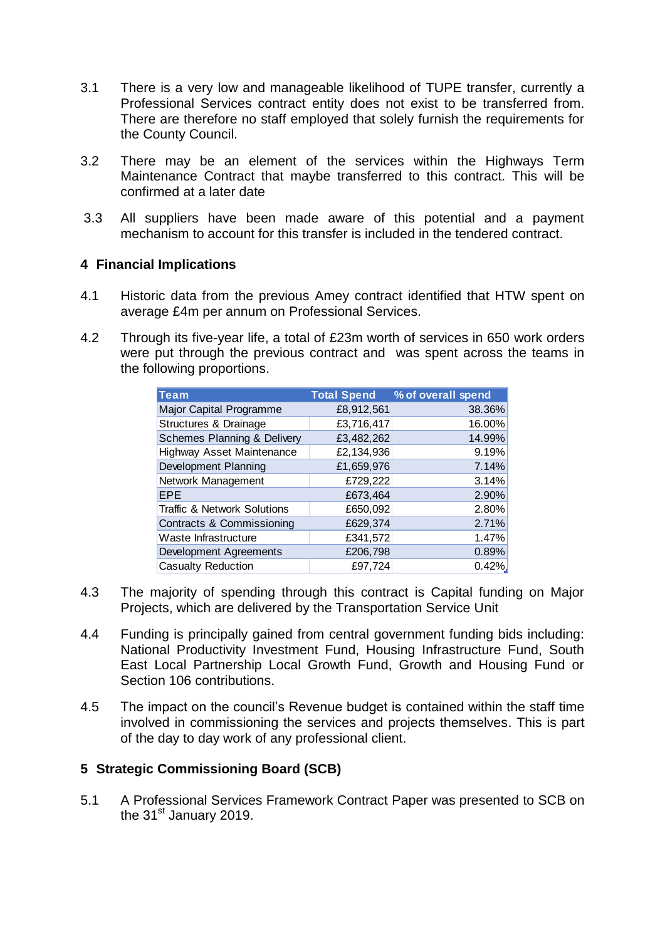- 3.1 There is a very low and manageable likelihood of TUPE transfer, currently a Professional Services contract entity does not exist to be transferred from. There are therefore no staff employed that solely furnish the requirements for the County Council.
- 3.2 There may be an element of the services within the Highways Term Maintenance Contract that maybe transferred to this contract. This will be confirmed at a later date
- 3.3 All suppliers have been made aware of this potential and a payment mechanism to account for this transfer is included in the tendered contract.

### **4 Financial Implications**

- 4.1 Historic data from the previous Amey contract identified that HTW spent on average £4m per annum on Professional Services.
- 4.2 Through its five-year life, a total of £23m worth of services in 650 work orders were put through the previous contract and was spent across the teams in the following proportions.

| <b>Team</b>                            | <b>Total Spend</b> | % of overall spend |
|----------------------------------------|--------------------|--------------------|
| Major Capital Programme                | £8,912,561         | 38.36%             |
| Structures & Drainage                  | £3,716,417         | 16.00%             |
| <b>Schemes Planning &amp; Delivery</b> | £3,482,262         | 14.99%             |
| Highway Asset Maintenance              | £2,134,936         | 9.19%              |
| Development Planning                   | £1,659,976         | 7.14%              |
| Network Management                     | £729,222           | 3.14%              |
| <b>EPE</b>                             | £673,464           | 2.90%              |
| <b>Traffic &amp; Network Solutions</b> | £650,092           | 2.80%              |
| Contracts & Commissioning              | £629,374           | 2.71%              |
| Waste Infrastructure                   | £341,572           | 1.47%              |
| Development Agreements                 | £206,798           | 0.89%              |
| Casualty Reduction                     | £97,724            | 0.42%              |

- 4.3 The majority of spending through this contract is Capital funding on Major Projects, which are delivered by the Transportation Service Unit
- 4.4 Funding is principally gained from central government funding bids including: National Productivity Investment Fund, Housing Infrastructure Fund, South East Local Partnership Local Growth Fund, Growth and Housing Fund or Section 106 contributions.
- 4.5 The impact on the council's Revenue budget is contained within the staff time involved in commissioning the services and projects themselves. This is part of the day to day work of any professional client.

## **5 Strategic Commissioning Board (SCB)**

5.1 A Professional Services Framework Contract Paper was presented to SCB on the 31<sup>st</sup> January 2019.